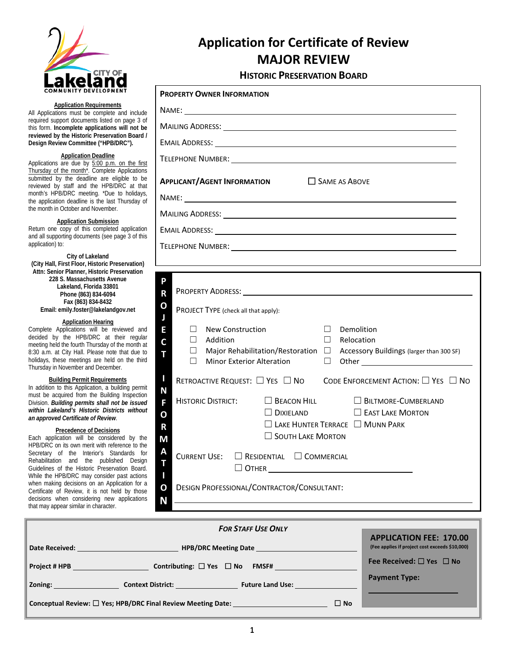

# **Application for Certificate of Review MAJOR REVIEW**

#### **HISTORIC PRESERVATION BOARD**

| <b>COMMUNITY DEVELOPMENT</b>                                                                                                                                                                                                                                                                                                                                                                                                                                                                                       | <b>PROPERTY OWNER INFORMATION</b>                                                                                                                                                                                                                                                                       |  |
|--------------------------------------------------------------------------------------------------------------------------------------------------------------------------------------------------------------------------------------------------------------------------------------------------------------------------------------------------------------------------------------------------------------------------------------------------------------------------------------------------------------------|---------------------------------------------------------------------------------------------------------------------------------------------------------------------------------------------------------------------------------------------------------------------------------------------------------|--|
| <b>Application Requirements</b><br>All Applications must be complete and include<br>required support documents listed on page 3 of<br>this form. Incomplete applications will not be                                                                                                                                                                                                                                                                                                                               | NAME: NAME CONTRACT CONTRACT CONTRACT OF THE CONTRACT OF THE CONTRACT OF THE CONTRACT OF THE CONTRACT OF THE CONTRACT OF THE CONTRACT OF THE CONTRACT OF THE CONTRACT OF THE CONTRACT OF THE CONTRACT OF THE CONTRACT OF THE C                                                                          |  |
|                                                                                                                                                                                                                                                                                                                                                                                                                                                                                                                    |                                                                                                                                                                                                                                                                                                         |  |
| reviewed by the Historic Preservation Board /<br>Design Review Committee ("HPB/DRC").                                                                                                                                                                                                                                                                                                                                                                                                                              |                                                                                                                                                                                                                                                                                                         |  |
| <b>Application Deadline</b><br>Applications are due by 5:00 p.m. on the first<br>Thursday of the month <sup>*</sup> . Complete Applications<br>submitted by the deadline are eligible to be<br>reviewed by staff and the HPB/DRC at that<br>month's HPB/DRC meeting. *Due to holidays,                                                                                                                                                                                                                             |                                                                                                                                                                                                                                                                                                         |  |
|                                                                                                                                                                                                                                                                                                                                                                                                                                                                                                                    | SAME AS ABOVE<br><b>APPLICANT/AGENT INFORMATION</b>                                                                                                                                                                                                                                                     |  |
| the application deadline is the last Thursday of<br>the month in October and November.                                                                                                                                                                                                                                                                                                                                                                                                                             |                                                                                                                                                                                                                                                                                                         |  |
| <b>Application Submission</b><br>Return one copy of this completed application                                                                                                                                                                                                                                                                                                                                                                                                                                     |                                                                                                                                                                                                                                                                                                         |  |
| and all supporting documents (see page 3 of this<br>application) to:                                                                                                                                                                                                                                                                                                                                                                                                                                               | TELEPHONE NUMBER: New York State State State State State State State State State State State State State State State State State State State State State State State State State State State State State State State State Sta                                                                          |  |
| City of Lakeland<br>(City Hall, First Floor, Historic Preservation)                                                                                                                                                                                                                                                                                                                                                                                                                                                |                                                                                                                                                                                                                                                                                                         |  |
| Attn: Senior Planner, Historic Preservation<br>228 S. Massachusetts Avenue<br>Lakeland, Florida 33801<br>Phone (863) 834-6094<br>Fax (863) 834-8432<br>Email: emily.foster@lakelandgov.net                                                                                                                                                                                                                                                                                                                         | P<br>$\overline{\mathsf{R}}$<br>О<br>PROJECT TYPE (check all that apply):                                                                                                                                                                                                                               |  |
| <b>Application Hearing</b><br>Complete Applications will be reviewed and<br>decided by the HPB/DRC at their regular<br>meeting held the fourth Thursday of the month at<br>8:30 a.m. at City Hall. Please note that due to<br>holidays, these meetings are held on the third<br>Thursday in November and December.                                                                                                                                                                                                 | E<br><b>New Construction</b><br>П<br>Demolition<br>$\perp$<br>$\Box$<br>Addition<br>$\Box$<br>Relocation<br>$\overline{c}$<br>Major Rehabilitation/Restoration □<br>□<br>Accessory Buildings (larger than 300 SF)<br>T<br>Minor Exterior Alteration<br>П<br>$\Box$                                      |  |
| <b>Building Permit Requirements</b><br>In addition to this Application, a building permit<br>must be acquired from the Building Inspection<br>Division. Building permits shall not be issued<br>within Lakeland's Historic Districts without<br>an approved Certificate of Review.                                                                                                                                                                                                                                 | U<br>RETROACTIVE REQUEST: $\Box$ YES $\Box$ NO CODE ENFORCEMENT ACTION: $\Box$ YES $\Box$ NO<br>N<br>$\Box$ BEACON HILL<br><b>HISTORIC DISTRICT:</b><br><b>BILTMORE-CUMBERLAND</b><br>F<br>$\Box$ DIXIELAND<br>$\Box$ EAST LAKE MORTON<br>$\overline{O}$<br>$\Box$ LAKE HUNTER TERRACE $\Box$ MUNN PARK |  |
| <b>Precedence of Decisions</b><br>Each application will be considered by the<br>HPB/DRC on its own merit with reference to the<br>Secretary of the Interior's Standards for<br>Rehabilitation and the published Design<br>Guidelines of the Historic Preservation Board.<br>While the HPB/DRC may consider past actions<br>when making decisions on an Application for a<br>Certificate of Review, it is not held by those<br>decisions when considering new applications<br>that may appear similar in character. | R<br>$\Box$ SOUTH LAKE MORTON<br>M<br>A<br><b>CURRENT USE:</b><br>$\Box$ RESIDENTIAL $\Box$ COMMERCIAL<br>T<br>$\begin{array}{c} \hline \end{array}$<br>$\overline{O}$<br>DESIGN PROFESSIONAL/CONTRACTOR/CONSULTANT:<br>N                                                                               |  |

| <b>FOR STAFF USE ONLY</b>                                                                                                                                                                                                                            |                                                                                  |  |  |
|------------------------------------------------------------------------------------------------------------------------------------------------------------------------------------------------------------------------------------------------------|----------------------------------------------------------------------------------|--|--|
| <b>HPB/DRC Meeting Date Second Second Second Second Second Second Second Second Second Second Second Second Second Second Second Second Second Second Second Second Second Second Second Second Second Second Second Second Se</b><br>Date Received: | <b>APPLICATION FEE: 170.00</b><br>(Fee applies if project cost exceeds \$10,000) |  |  |
| Contributing: $\Box$ Yes $\Box$ No FMSF#<br><b>Project # HPB</b>                                                                                                                                                                                     | Fee Received: $\Box$ Yes $\Box$ No                                               |  |  |
| <b>Zoning: Example 2018</b><br><b>Context District:</b><br><b>Future Land Use:</b> The Contract of the Contract of the Contract of the Contract of the Contract of the Contract o                                                                    | <b>Payment Type:</b>                                                             |  |  |
| Conceptual Review: $\square$ Yes; HPB/DRC Final Review Meeting Date: $\overline{\phantom{a}}$<br>$\Box$ No                                                                                                                                           |                                                                                  |  |  |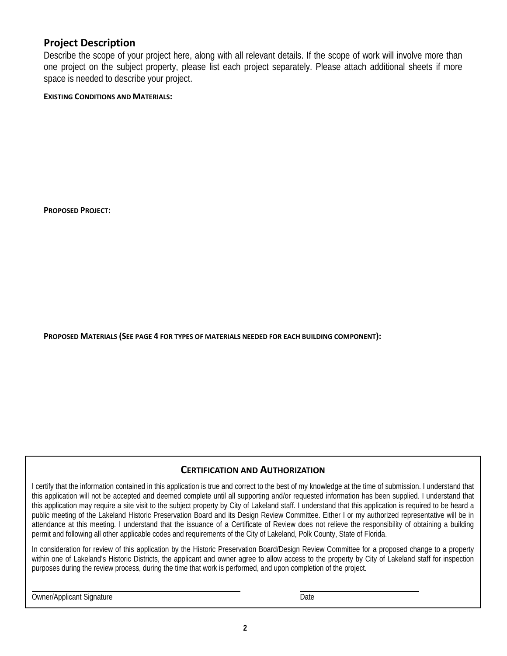# **Project Description**

Describe the scope of your project here, along with all relevant details. If the scope of work will involve more than one project on the subject property, please list each project separately. Please attach additional sheets if more space is needed to describe your project.

#### **EXISTING CONDITIONS AND MATERIALS:**

**PROPOSED PROJECT:** 

**PROPOSED MATERIALS (SEE PAGE 4 FOR TYPES OF MATERIALS NEEDED FOR EACH BUILDING COMPONENT):** 

#### **CERTIFICATION AND AUTHORIZATION**

I certify that the information contained in this application is true and correct to the best of my knowledge at the time of submission. I understand that this application will not be accepted and deemed complete until all supporting and/or requested information has been supplied. I understand that this application may require a site visit to the subject property by City of Lakeland staff. I understand that this application is required to be heard a public meeting of the Lakeland Historic Preservation Board and its Design Review Committee. Either I or my authorized representative will be in attendance at this meeting. I understand that the issuance of a Certificate of Review does not relieve the responsibility of obtaining a building permit and following all other applicable codes and requirements of the City of Lakeland, Polk County, State of Florida.

In consideration for review of this application by the Historic Preservation Board/Design Review Committee for a proposed change to a property within one of Lakeland's Historic Districts, the applicant and owner agree to allow access to the property by City of Lakeland staff for inspection purposes during the review process, during the time that work is performed, and upon completion of the project.

 $\overline{a}$ Owner/Applicant Signature Date Date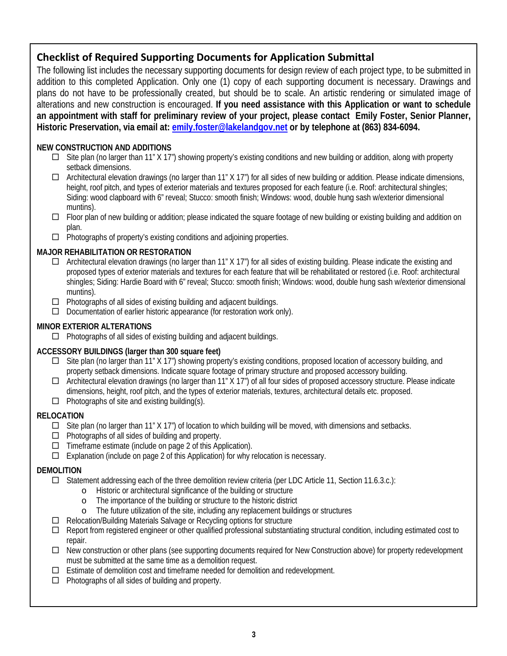# **Checklist of Required Supporting Documents for Application Submittal**

The following list includes the necessary supporting documents for design review of each project type, to be submitted in addition to this completed Application. Only one (1) copy of each supporting document is necessary. Drawings and plans do not have to be professionally created, but should be to scale. An artistic rendering or simulated image of alterations and new construction is encouraged. **If you need assistance with this Application or want to schedule an appointment with staff for preliminary review of your project, please contact Emily Foster, Senior Planner, Historic Preservation, via email at: [emily.foster@lakelandgov.net](mailto:emily.foster@lakelandgov.net) or by telephone at (863) 834-6094.**

# **NEW CONSTRUCTION AND ADDITIONS**

- $\Box$  Site plan (no larger than 11" X 17") showing property's existing conditions and new building or addition, along with property setback dimensions.
- $\Box$  Architectural elevation drawings (no larger than 11" X 17") for all sides of new building or addition. Please indicate dimensions, height, roof pitch, and types of exterior materials and textures proposed for each feature (i.e. Roof: architectural shingles; Siding: wood clapboard with 6" reveal; Stucco: smooth finish; Windows: wood, double hung sash w/exterior dimensional muntins).
- □ Floor plan of new building or addition; please indicated the square footage of new building or existing building and addition on plan.
- $\Box$  Photographs of property's existing conditions and adjoining properties.

# **MAJOR REHABILITATION OR RESTORATION**

- $\Box$  Architectural elevation drawings (no larger than 11" X 17") for all sides of existing building. Please indicate the existing and proposed types of exterior materials and textures for each feature that will be rehabilitated or restored (i.e. Roof: architectural shingles; Siding: Hardie Board with 6" reveal; Stucco: smooth finish; Windows: wood, double hung sash w/exterior dimensional muntins).
- $\Box$  Photographs of all sides of existing building and adjacent buildings.
- $\Box$  Documentation of earlier historic appearance (for restoration work only).

## **MINOR EXTERIOR ALTERATIONS**

 $\Box$  Photographs of all sides of existing building and adjacent buildings.

# **ACCESSORY BUILDINGS (larger than 300 square feet)**

- $\Box$  Site plan (no larger than 11" X 17") showing property's existing conditions, proposed location of accessory building, and property setback dimensions. Indicate square footage of primary structure and proposed accessory building.
- Architectural elevation drawings (no larger than 11" X 17") of all four sides of proposed accessory structure. Please indicate dimensions, height, roof pitch, and the types of exterior materials, textures, architectural details etc. proposed.  $\Box$  Photographs of site and existing building(s).

# **RELOCATION**

- $\Box$  Site plan (no larger than 11" X 17") of location to which building will be moved, with dimensions and setbacks.
- $\Box$  Photographs of all sides of building and property.
- $\Box$  Timeframe estimate (include on page 2 of this Application).
- $\Box$  Explanation (include on page 2 of this Application) for why relocation is necessary.

#### **DEMOLITION**

- $\Box$  Statement addressing each of the three demolition review criteria (per LDC Article 11, Section 11.6.3.c.):
	- o Historic or architectural significance of the building or structure
	- o The importance of the building or structure to the historic district
	- o The future utilization of the site, including any replacement buildings or structures
- □ Relocation/Building Materials Salvage or Recycling options for structure
- $\Box$  Report from registered engineer or other qualified professional substantiating structural condition, including estimated cost to repair.
- $\Box$  New construction or other plans (see supporting documents required for New Construction above) for property redevelopment must be submitted at the same time as a demolition request.
- $\Box$  Estimate of demolition cost and timeframe needed for demolition and redevelopment.
- $\Box$  Photographs of all sides of building and property.